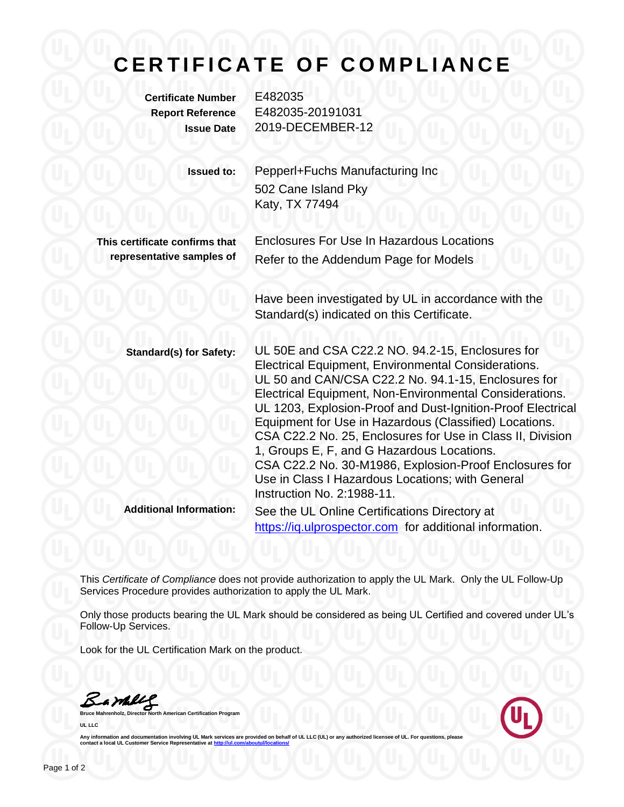## **C E R T I F I C A T E O F C O M P L I A N C E**

**Certificate Number** E482035

**Report Reference** E482035-20191031 **Issue Date** 2019-DECEMBER-12

> **Issued to:** Pepperl+Fuchs Manufacturing Inc 502 Cane Island Pky Katy, TX 77494

**This certificate confirms that representative samples of**

Enclosures For Use In Hazardous Locations Refer to the Addendum Page for Models

Have been investigated by UL in accordance with the Standard(s) indicated on this Certificate.

https://iq.ulprospector.com for additional information.

**Standard(s) for Safety:** UL 50E and CSA C22.2 NO. 94.2-15, Enclosures for Electrical Equipment, Environmental Considerations. UL 50 and CAN/CSA C22.2 No. 94.1-15, Enclosures for Electrical Equipment, Non-Environmental Considerations. UL 1203, Explosion-Proof and Dust-Ignition-Proof Electrical Equipment for Use in Hazardous (Classified) Locations. CSA C22.2 No. 25, Enclosures for Use in Class II, Division 1, Groups E, F, and G Hazardous Locations. CSA C22.2 No. 30-M1986, Explosion-Proof Enclosures for Use in Class I Hazardous Locations; with General Instruction No. 2:1988-11. **Additional Information:** See the UL Online Certifications Directory at

This *Certificate of Compliance* does not provide authorization to apply the UL Mark. Only the UL Follow-Up Services Procedure provides authorization to apply the UL Mark.

Only those products bearing the UL Mark should be considered as being UL Certified and covered under UL's Follow-Up Services.

Look for the UL Certification Mark on the product.

Barbley

**American Certification Program UL LLC**



Any information and documentation involving UL Mark services are provided on behalf of UL LLC (UL) or any authorized licensee of UL. For questions, please<br>contact a local UL Customer Service Representative at <u>http://ul.co</u>